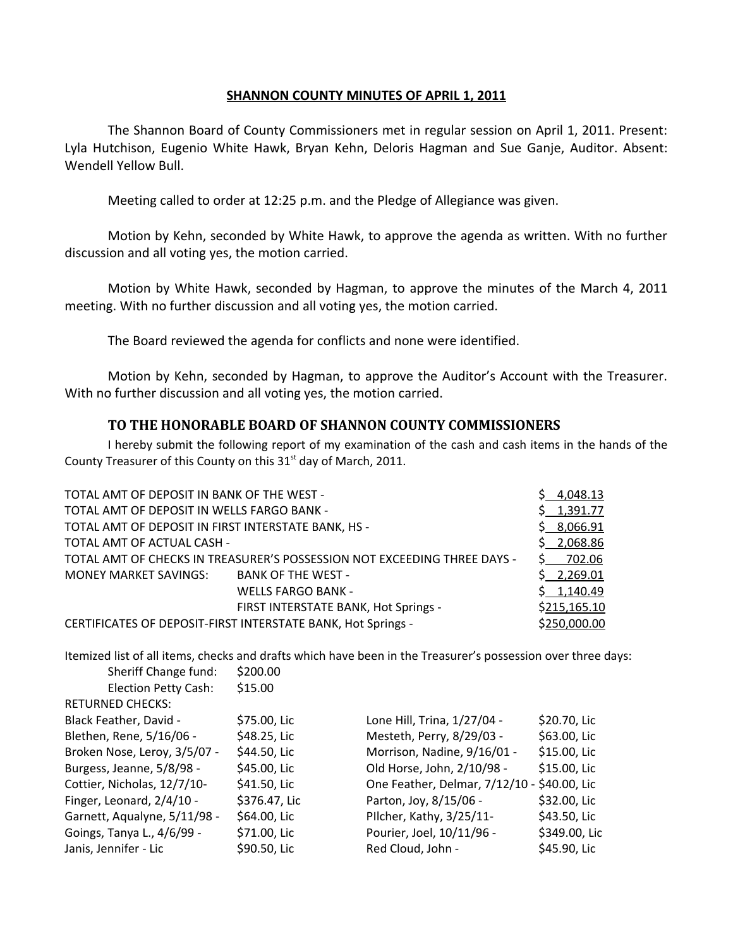## **SHANNON COUNTY MINUTES OF APRIL 1, 2011**

The Shannon Board of County Commissioners met in regular session on April 1, 2011. Present: Lyla Hutchison, Eugenio White Hawk, Bryan Kehn, Deloris Hagman and Sue Ganje, Auditor. Absent: Wendell Yellow Bull.

Meeting called to order at 12:25 p.m. and the Pledge of Allegiance was given.

Motion by Kehn, seconded by White Hawk, to approve the agenda as written. With no further discussion and all voting yes, the motion carried.

Motion by White Hawk, seconded by Hagman, to approve the minutes of the March 4, 2011 meeting. With no further discussion and all voting yes, the motion carried.

The Board reviewed the agenda for conflicts and none were identified.

Motion by Kehn, seconded by Hagman, to approve the Auditor's Account with the Treasurer. With no further discussion and all voting yes, the motion carried.

## **TO THE HONORABLE BOARD OF SHANNON COUNTY COMMISSIONERS**

I hereby submit the following report of my examination of the cash and cash items in the hands of the County Treasurer of this County on this 31<sup>st</sup> day of March, 2011.

| TOTAL AMT OF DEPOSIT IN BANK OF THE WEST -                               |                                      | \$4,048.13   |
|--------------------------------------------------------------------------|--------------------------------------|--------------|
| TOTAL AMT OF DEPOSIT IN WELLS FARGO BANK -                               |                                      | \$1,391.77   |
| TOTAL AMT OF DEPOSIT IN FIRST INTERSTATE BANK, HS -                      |                                      |              |
| TOTAL AMT OF ACTUAL CASH -                                               |                                      | \$2,068.86   |
| TOTAL AMT OF CHECKS IN TREASURER'S POSSESSION NOT EXCEEDING THREE DAYS - |                                      | \$702.06     |
| MONEY MARKET SAVINGS:                                                    | BANK OF THE WEST -                   | \$2,269.01   |
|                                                                          | <b>WELLS FARGO BANK -</b>            | \$1,140.49   |
|                                                                          | FIRST INTERSTATE BANK, Hot Springs - | \$215,165.10 |
| CERTIFICATES OF DEPOSIT-FIRST INTERSTATE BANK, Hot Springs -             |                                      |              |

Itemized list of all items, checks and drafts which have been in the Treasurer's possession over three days:

| Sheriff Change fund:         | \$200.00      |                                             |               |
|------------------------------|---------------|---------------------------------------------|---------------|
| <b>Election Petty Cash:</b>  | \$15.00       |                                             |               |
| <b>RETURNED CHECKS:</b>      |               |                                             |               |
| Black Feather, David -       | \$75.00, Lic  | Lone Hill, Trina, 1/27/04 -                 | \$20.70, Lic  |
| Blethen, Rene, 5/16/06 -     | \$48.25, Lic  | Mesteth, Perry, 8/29/03 -                   | \$63.00, Lic  |
| Broken Nose, Leroy, 3/5/07 - | \$44.50, Lic  | Morrison, Nadine, 9/16/01 -                 | \$15.00, Lic  |
| Burgess, Jeanne, 5/8/98 -    | \$45.00, Lic  | Old Horse, John, 2/10/98 -                  | \$15.00, Lic  |
| Cottier, Nicholas, 12/7/10-  | \$41.50, Lic  | One Feather, Delmar, 7/12/10 - \$40.00, Lic |               |
| Finger, Leonard, 2/4/10 -    | \$376.47, Lic | Parton, Joy, 8/15/06 -                      | \$32.00, Lic  |
| Garnett, Aqualyne, 5/11/98 - | \$64.00, Lic  | PIlcher, Kathy, 3/25/11-                    | \$43.50, Lic  |
| Goings, Tanya L., 4/6/99 -   | \$71.00, Lic  | Pourier, Joel, 10/11/96 -                   | \$349.00, Lic |
| Janis, Jennifer - Lic        | \$90.50, Lic  | Red Cloud, John -                           | \$45.90, Lic  |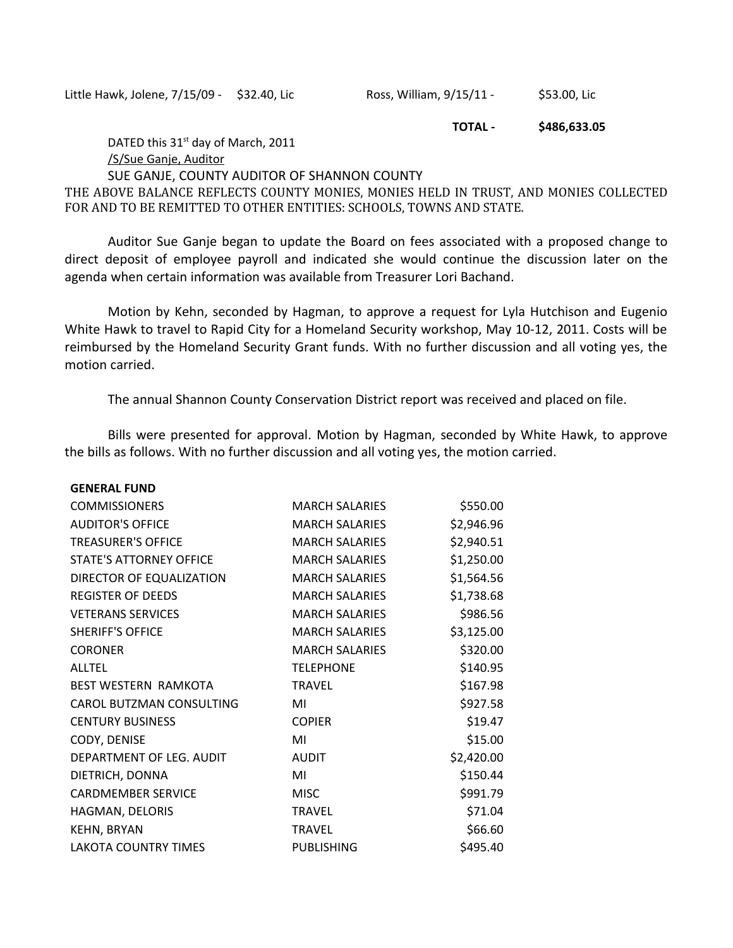Little Hawk, Jolene, 7/15/09 - \$32.40, Lic Ross, William, 9/15/11 - \$53.00, Lic

#### **TOTAL - \$486,633.05**

DATED this  $31<sup>st</sup>$  day of March, 2011

#### /S/Sue Ganje, Auditor

### SUE GANJE, COUNTY AUDITOR OF SHANNON COUNTY

THE ABOVE BALANCE REFLECTS COUNTY MONIES, MONIES HELD IN TRUST, AND MONIES COLLECTED FOR AND TO BE REMITTED TO OTHER ENTITIES: SCHOOLS, TOWNS AND STATE.

Auditor Sue Ganje began to update the Board on fees associated with a proposed change to direct deposit of employee payroll and indicated she would continue the discussion later on the agenda when certain information was available from Treasurer Lori Bachand.

Motion by Kehn, seconded by Hagman, to approve a request for Lyla Hutchison and Eugenio White Hawk to travel to Rapid City for a Homeland Security workshop, May 10-12, 2011. Costs will be reimbursed by the Homeland Security Grant funds. With no further discussion and all voting yes, the motion carried.

The annual Shannon County Conservation District report was received and placed on file.

Bills were presented for approval. Motion by Hagman, seconded by White Hawk, to approve the bills as follows. With no further discussion and all voting yes, the motion carried.

| <b>GENERAL FUND</b>         |                       |            |
|-----------------------------|-----------------------|------------|
| <b>COMMISSIONERS</b>        | <b>MARCH SALARIES</b> | \$550.00   |
| <b>AUDITOR'S OFFICE</b>     | <b>MARCH SALARIES</b> | \$2,946.96 |
| <b>TREASURER'S OFFICE</b>   | <b>MARCH SALARIES</b> | \$2,940.51 |
| STATE'S ATTORNEY OFFICE     | <b>MARCH SALARIES</b> | \$1,250.00 |
| DIRECTOR OF EQUALIZATION    | <b>MARCH SALARIES</b> | \$1,564.56 |
| <b>REGISTER OF DEEDS</b>    | <b>MARCH SALARIES</b> | \$1,738.68 |
| <b>VETERANS SERVICES</b>    | <b>MARCH SALARIES</b> | \$986.56   |
| <b>SHERIFF'S OFFICE</b>     | <b>MARCH SALARIES</b> | \$3,125.00 |
| <b>CORONER</b>              | <b>MARCH SALARIES</b> | \$320.00   |
| <b>ALLTEL</b>               | <b>TELEPHONE</b>      | \$140.95   |
| <b>BEST WESTERN RAMKOTA</b> | <b>TRAVEL</b>         | \$167.98   |
| CAROL BUTZMAN CONSULTING    | MI                    | \$927.58   |
| <b>CENTURY BUSINESS</b>     | <b>COPIER</b>         | \$19.47    |
| CODY, DENISE                | MI                    | \$15.00    |
| DEPARTMENT OF LEG. AUDIT    | <b>AUDIT</b>          | \$2,420.00 |
| DIETRICH, DONNA             | MI                    | \$150.44   |
| <b>CARDMEMBER SERVICE</b>   | <b>MISC</b>           | \$991.79   |
| HAGMAN, DELORIS             | <b>TRAVEL</b>         | \$71.04    |
| KEHN, BRYAN                 | <b>TRAVEL</b>         | \$66.60    |
| <b>LAKOTA COUNTRY TIMES</b> | PUBLISHING            | \$495.40   |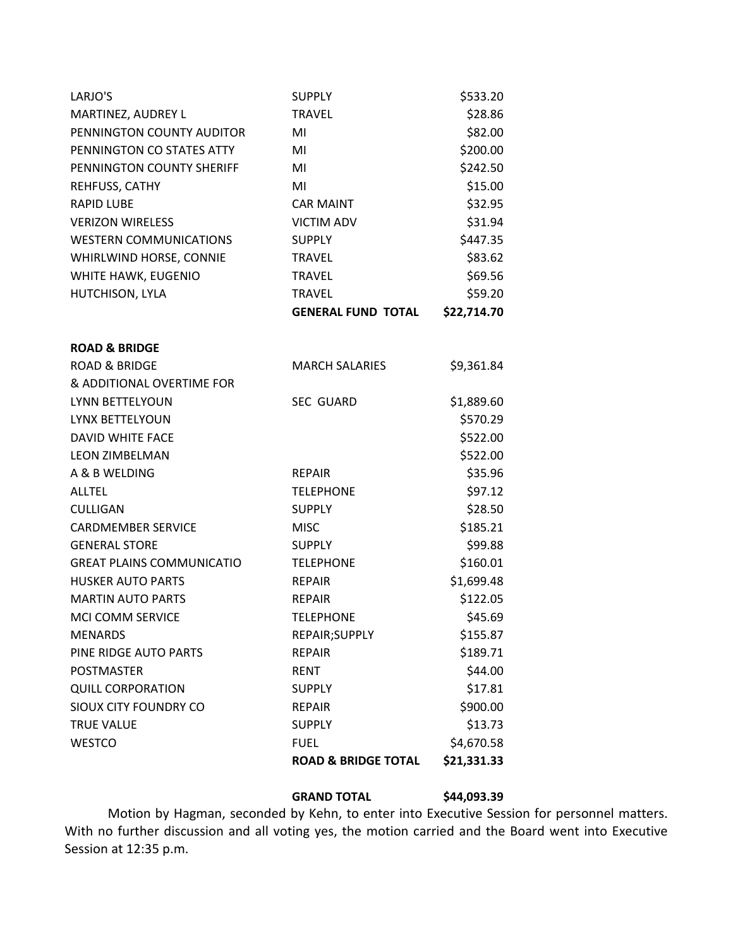| LARJO'S                          | <b>SUPPLY</b>                  | \$533.20    |
|----------------------------------|--------------------------------|-------------|
| MARTINEZ, AUDREY L               | <b>TRAVEL</b>                  | \$28.86     |
| PENNINGTON COUNTY AUDITOR        | MI                             | \$82.00     |
| PENNINGTON CO STATES ATTY        | MI                             | \$200.00    |
| PENNINGTON COUNTY SHERIFF        | MI                             | \$242.50    |
| REHFUSS, CATHY                   | MI                             | \$15.00     |
| <b>RAPID LUBE</b>                | <b>CAR MAINT</b>               | \$32.95     |
| <b>VERIZON WIRELESS</b>          | <b>VICTIM ADV</b>              | \$31.94     |
| <b>WESTERN COMMUNICATIONS</b>    | <b>SUPPLY</b>                  | \$447.35    |
| WHIRLWIND HORSE, CONNIE          | <b>TRAVEL</b>                  | \$83.62     |
| WHITE HAWK, EUGENIO              | <b>TRAVEL</b>                  | \$69.56     |
| HUTCHISON, LYLA                  | <b>TRAVEL</b>                  | \$59.20     |
|                                  | <b>GENERAL FUND TOTAL</b>      | \$22,714.70 |
| <b>ROAD &amp; BRIDGE</b>         |                                |             |
| <b>ROAD &amp; BRIDGE</b>         | <b>MARCH SALARIES</b>          | \$9,361.84  |
| & ADDITIONAL OVERTIME FOR        |                                |             |
| LYNN BETTELYOUN                  | <b>SEC GUARD</b>               | \$1,889.60  |
| LYNX BETTELYOUN                  |                                | \$570.29    |
| <b>DAVID WHITE FACE</b>          |                                | \$522.00    |
| <b>LEON ZIMBELMAN</b>            |                                | \$522.00    |
| A & B WELDING                    | <b>REPAIR</b>                  | \$35.96     |
| <b>ALLTEL</b>                    | <b>TELEPHONE</b>               | \$97.12     |
| <b>CULLIGAN</b>                  | <b>SUPPLY</b>                  | \$28.50     |
| <b>CARDMEMBER SERVICE</b>        | <b>MISC</b>                    | \$185.21    |
| <b>GENERAL STORE</b>             | <b>SUPPLY</b>                  | \$99.88     |
| <b>GREAT PLAINS COMMUNICATIO</b> | <b>TELEPHONE</b>               | \$160.01    |
| <b>HUSKER AUTO PARTS</b>         | <b>REPAIR</b>                  | \$1,699.48  |
| <b>MARTIN AUTO PARTS</b>         | <b>REPAIR</b>                  | \$122.05    |
| <b>MCI COMM SERVICE</b>          | <b>TELEPHONE</b>               | \$45.69     |
| <b>MENARDS</b>                   | REPAIR; SUPPLY                 | \$155.87    |
| PINE RIDGE AUTO PARTS            | <b>REPAIR</b>                  | \$189.71    |
| <b>POSTMASTER</b>                | <b>RENT</b>                    | \$44.00     |
| <b>QUILL CORPORATION</b>         | <b>SUPPLY</b>                  | \$17.81     |
| SIOUX CITY FOUNDRY CO            | <b>REPAIR</b>                  | \$900.00    |
| <b>TRUE VALUE</b>                | <b>SUPPLY</b>                  | \$13.73     |
| <b>WESTCO</b>                    | <b>FUEL</b>                    | \$4,670.58  |
|                                  | <b>ROAD &amp; BRIDGE TOTAL</b> | \$21,331.33 |

# **GRAND TOTAL \$44,093.39**

Motion by Hagman, seconded by Kehn, to enter into Executive Session for personnel matters. With no further discussion and all voting yes, the motion carried and the Board went into Executive Session at 12:35 p.m.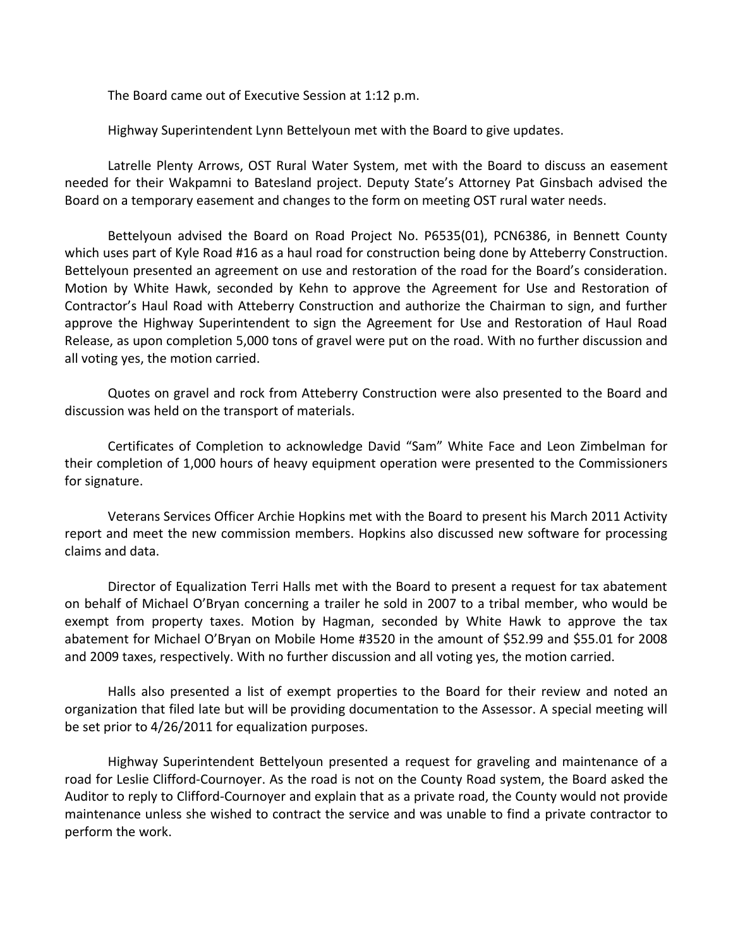The Board came out of Executive Session at 1:12 p.m.

Highway Superintendent Lynn Bettelyoun met with the Board to give updates.

Latrelle Plenty Arrows, OST Rural Water System, met with the Board to discuss an easement needed for their Wakpamni to Batesland project. Deputy State's Attorney Pat Ginsbach advised the Board on a temporary easement and changes to the form on meeting OST rural water needs.

Bettelyoun advised the Board on Road Project No. P6535(01), PCN6386, in Bennett County which uses part of Kyle Road #16 as a haul road for construction being done by Atteberry Construction. Bettelyoun presented an agreement on use and restoration of the road for the Board's consideration. Motion by White Hawk, seconded by Kehn to approve the Agreement for Use and Restoration of Contractor's Haul Road with Atteberry Construction and authorize the Chairman to sign, and further approve the Highway Superintendent to sign the Agreement for Use and Restoration of Haul Road Release, as upon completion 5,000 tons of gravel were put on the road. With no further discussion and all voting yes, the motion carried.

Quotes on gravel and rock from Atteberry Construction were also presented to the Board and discussion was held on the transport of materials.

Certificates of Completion to acknowledge David "Sam" White Face and Leon Zimbelman for their completion of 1,000 hours of heavy equipment operation were presented to the Commissioners for signature.

Veterans Services Officer Archie Hopkins met with the Board to present his March 2011 Activity report and meet the new commission members. Hopkins also discussed new software for processing claims and data.

Director of Equalization Terri Halls met with the Board to present a request for tax abatement on behalf of Michael O'Bryan concerning a trailer he sold in 2007 to a tribal member, who would be exempt from property taxes. Motion by Hagman, seconded by White Hawk to approve the tax abatement for Michael O'Bryan on Mobile Home #3520 in the amount of \$52.99 and \$55.01 for 2008 and 2009 taxes, respectively. With no further discussion and all voting yes, the motion carried.

Halls also presented a list of exempt properties to the Board for their review and noted an organization that filed late but will be providing documentation to the Assessor. A special meeting will be set prior to 4/26/2011 for equalization purposes.

Highway Superintendent Bettelyoun presented a request for graveling and maintenance of a road for Leslie Clifford-Cournoyer. As the road is not on the County Road system, the Board asked the Auditor to reply to Clifford-Cournoyer and explain that as a private road, the County would not provide maintenance unless she wished to contract the service and was unable to find a private contractor to perform the work.